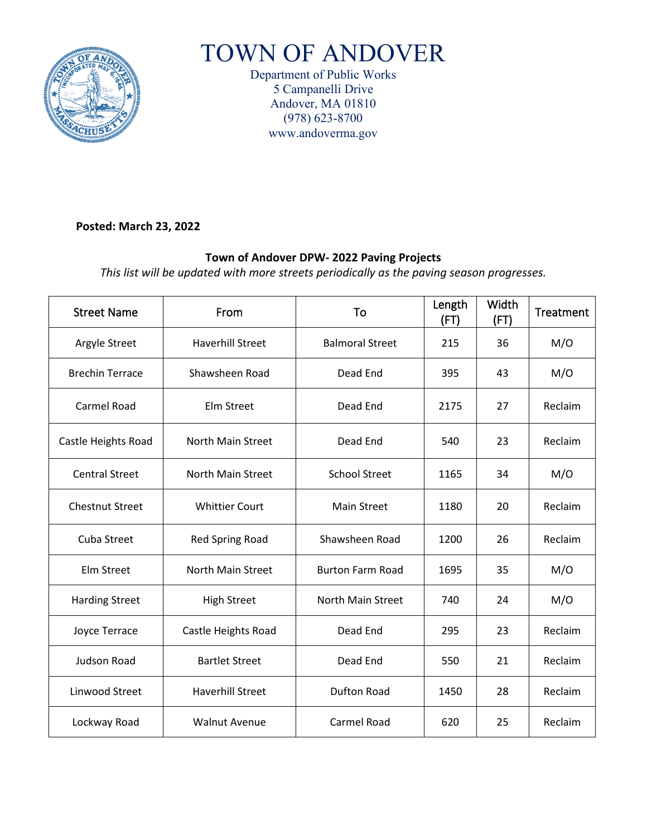

# TOWN OF ANDOVER

Department of Public Works 5 Campanelli Drive Andover, MA 01810 (978) 623-8700 www.andoverma.gov

#### **Posted: March 23, 2022**

### **Town of Andover DPW- 2022 Paving Projects**

*This list will be updated with more streets periodically as the paving season progresses.* 

| <b>Street Name</b>     | From                     | To                      | Length<br>(FT) | Width<br>(FT) | <b>Treatment</b> |
|------------------------|--------------------------|-------------------------|----------------|---------------|------------------|
| Argyle Street          | <b>Haverhill Street</b>  | <b>Balmoral Street</b>  | 215            | 36            | M/O              |
| <b>Brechin Terrace</b> | Shawsheen Road           | Dead End                | 395            | 43            | M/O              |
| Carmel Road            | Elm Street               | Dead End                | 2175           | 27            | Reclaim          |
| Castle Heights Road    | <b>North Main Street</b> | Dead End                | 540            | 23            | Reclaim          |
| <b>Central Street</b>  | <b>North Main Street</b> | <b>School Street</b>    | 1165           | 34            | M/O              |
| <b>Chestnut Street</b> | <b>Whittier Court</b>    | <b>Main Street</b>      | 1180           | 20            | Reclaim          |
| Cuba Street            | <b>Red Spring Road</b>   | Shawsheen Road          | 1200           | 26            | Reclaim          |
| Elm Street             | <b>North Main Street</b> | <b>Burton Farm Road</b> | 1695           | 35            | M/O              |
| <b>Harding Street</b>  | <b>High Street</b>       | North Main Street       | 740            | 24            | M/O              |
| Joyce Terrace          | Castle Heights Road      | Dead End                | 295            | 23            | Reclaim          |
| <b>Judson Road</b>     | <b>Bartlet Street</b>    | Dead End                | 550            | 21            | Reclaim          |
| Linwood Street         | <b>Haverhill Street</b>  | <b>Dufton Road</b>      | 1450           | 28            | Reclaim          |
| Lockway Road           | <b>Walnut Avenue</b>     | Carmel Road             | 620            | 25            | Reclaim          |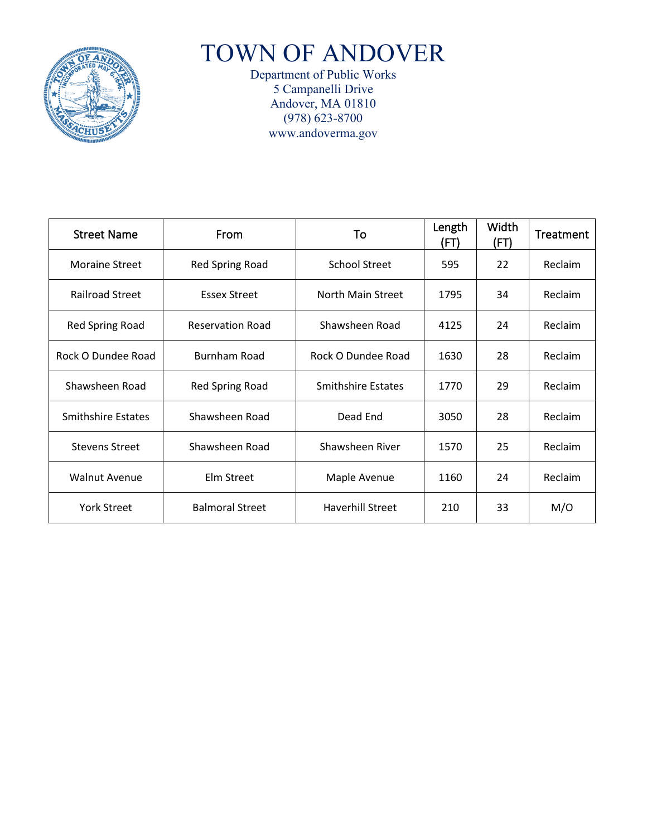

TOWN OF ANDOVER

Department of Public Works 5 Campanelli Drive Andover, MA 01810 (978) 623-8700 www.andoverma.gov

| <b>Street Name</b>        | <b>From</b>             | To                        | Length<br>(FT) | Width<br>(FT) | Treatment |
|---------------------------|-------------------------|---------------------------|----------------|---------------|-----------|
| <b>Moraine Street</b>     | Red Spring Road         | <b>School Street</b>      | 595            | 22            | Reclaim   |
| <b>Railroad Street</b>    | <b>Essex Street</b>     | North Main Street         | 1795           | 34            | Reclaim   |
| Red Spring Road           | <b>Reservation Road</b> | Shawsheen Road            | 4125           | 24            | Reclaim   |
| Rock O Dundee Road        | <b>Burnham Road</b>     | Rock O Dundee Road        | 1630           | 28            | Reclaim   |
| Shawsheen Road            | <b>Red Spring Road</b>  | <b>Smithshire Estates</b> | 1770           | 29            | Reclaim   |
| <b>Smithshire Estates</b> | Shawsheen Road          | Dead End                  | 3050           | 28            | Reclaim   |
| <b>Stevens Street</b>     | Shawsheen Road          | Shawsheen River           | 1570           | 25            | Reclaim   |
| <b>Walnut Avenue</b>      | Elm Street              | Maple Avenue              | 1160           | 24            | Reclaim   |
| <b>York Street</b>        | <b>Balmoral Street</b>  | <b>Haverhill Street</b>   | 210            | 33            | M/O       |